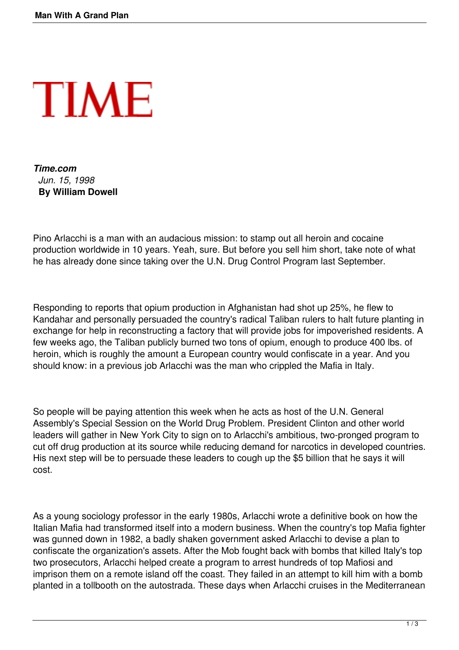

*Time.com Jun. 15, 1998* **By William Dowell**

Pino Arlacchi is a man with an audacious mission: to stamp out all heroin and cocaine production worldwide in 10 years. Yeah, sure. But before you sell him short, take note of what he has already done since taking over the U.N. Drug Control Program last September.

Responding to reports that opium production in Afghanistan had shot up 25%, he flew to Kandahar and personally persuaded the country's radical Taliban rulers to halt future planting in exchange for help in reconstructing a factory that will provide jobs for impoverished residents. A few weeks ago, the Taliban publicly burned two tons of opium, enough to produce 400 lbs. of heroin, which is roughly the amount a European country would confiscate in a year. And you should know: in a previous job Arlacchi was the man who crippled the Mafia in Italy.

So people will be paying attention this week when he acts as host of the U.N. General Assembly's Special Session on the World Drug Problem. President Clinton and other world leaders will gather in New York City to sign on to Arlacchi's ambitious, two-pronged program to cut off drug production at its source while reducing demand for narcotics in developed countries. His next step will be to persuade these leaders to cough up the \$5 billion that he says it will cost.

As a young sociology professor in the early 1980s, Arlacchi wrote a definitive book on how the Italian Mafia had transformed itself into a modern business. When the country's top Mafia fighter was gunned down in 1982, a badly shaken government asked Arlacchi to devise a plan to confiscate the organization's assets. After the Mob fought back with bombs that killed Italy's top two prosecutors, Arlacchi helped create a program to arrest hundreds of top Mafiosi and imprison them on a remote island off the coast. They failed in an attempt to kill him with a bomb planted in a tollbooth on the autostrada. These days when Arlacchi cruises in the Mediterranean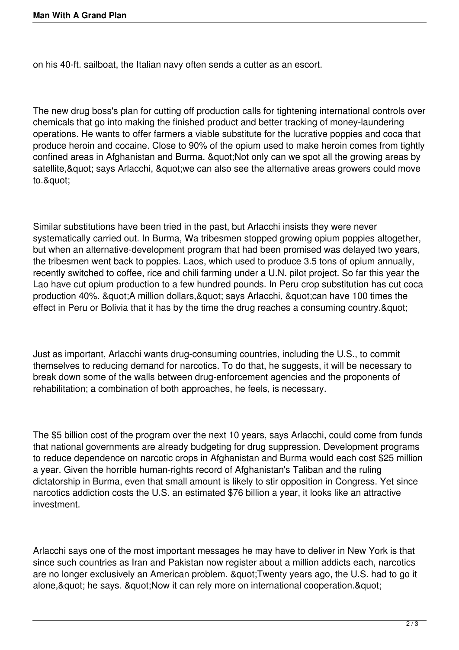on his 40-ft. sailboat, the Italian navy often sends a cutter as an escort.

The new drug boss's plan for cutting off production calls for tightening international controls over chemicals that go into making the finished product and better tracking of money-laundering operations. He wants to offer farmers a viable substitute for the lucrative poppies and coca that produce heroin and cocaine. Close to 90% of the opium used to make heroin comes from tightly confined areas in Afghanistan and Burma. & quot; Not only can we spot all the growing areas by satellite, & quot; says Arlacchi, & quot; we can also see the alternative areas growers could move to."

Similar substitutions have been tried in the past, but Arlacchi insists they were never systematically carried out. In Burma, Wa tribesmen stopped growing opium poppies altogether, but when an alternative-development program that had been promised was delayed two years, the tribesmen went back to poppies. Laos, which used to produce 3.5 tons of opium annually, recently switched to coffee, rice and chili farming under a U.N. pilot project. So far this year the Lao have cut opium production to a few hundred pounds. In Peru crop substitution has cut coca production 40%. & quot; A million dollars, & quot; says Arlacchi, & quot; can have 100 times the effect in Peru or Bolivia that it has by the time the drug reaches a consuming country. & quot;

Just as important, Arlacchi wants drug-consuming countries, including the U.S., to commit themselves to reducing demand for narcotics. To do that, he suggests, it will be necessary to break down some of the walls between drug-enforcement agencies and the proponents of rehabilitation; a combination of both approaches, he feels, is necessary.

The \$5 billion cost of the program over the next 10 years, says Arlacchi, could come from funds that national governments are already budgeting for drug suppression. Development programs to reduce dependence on narcotic crops in Afghanistan and Burma would each cost \$25 million a year. Given the horrible human-rights record of Afghanistan's Taliban and the ruling dictatorship in Burma, even that small amount is likely to stir opposition in Congress. Yet since narcotics addiction costs the U.S. an estimated \$76 billion a year, it looks like an attractive investment.

Arlacchi says one of the most important messages he may have to deliver in New York is that since such countries as Iran and Pakistan now register about a million addicts each, narcotics are no longer exclusively an American problem. " Twenty years ago, the U.S. had to go it alone, & quot; he says. & quot; Now it can rely more on international cooperation. & quot;